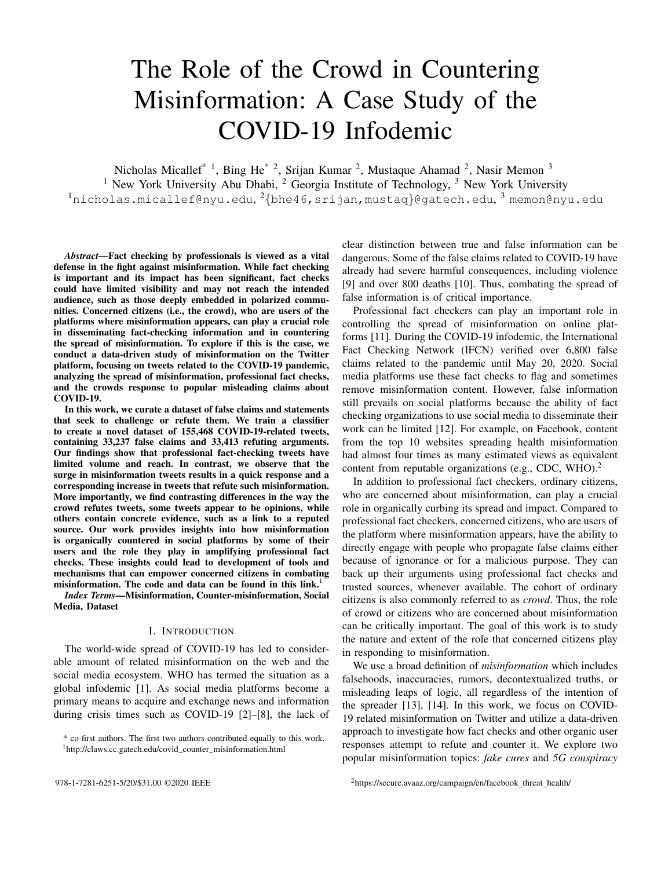# The Role of the Crowd in Countering Misinformation: A Case Study of the COVID-19 Infodemic

Nicholas Micallef<sup>\* 1</sup>, Bing He<sup>\* 2</sup>, Srijan Kumar <sup>2</sup>, Mustaque Ahamad <sup>2</sup>, Nasir Memon <sup>3</sup> <sup>1</sup> New York University Abu Dhabi, <sup>2</sup> Georgia Institute of Technology, <sup>3</sup> New York University  $^{\rm 1}$ nicholas.micallef@nyu.edu, $^{\rm 2}$ {bhe46,srijan,mustaq}@gatech.edu, $^{\rm 3}$ memon@nyu.edu

*Abstract*—Fact checking by professionals is viewed as a vital defense in the fight against misinformation. While fact checking is important and its impact has been significant, fact checks could have limited visibility and may not reach the intended audience, such as those deeply embedded in polarized communities. Concerned citizens (i.e., the crowd), who are users of the platforms where misinformation appears, can play a crucial role in disseminating fact-checking information and in countering the spread of misinformation. To explore if this is the case, we conduct a data-driven study of misinformation on the Twitter platform, focusing on tweets related to the COVID-19 pandemic, analyzing the spread of misinformation, professional fact checks, and the crowds response to popular misleading claims about COVID-19.

In this work, we curate a dataset of false claims and statements that seek to challenge or refute them. We train a classifier to create a novel dataset of 155,468 COVID-19-related tweets, containing 33,237 false claims and 33,413 refuting arguments. Our findings show that professional fact-checking tweets have limited volume and reach. In contrast, we observe that the surge in misinformation tweets results in a quick response and a corresponding increase in tweets that refute such misinformation. More importantly, we find contrasting differences in the way the crowd refutes tweets, some tweets appear to be opinions, while others contain concrete evidence, such as a link to a reputed source. Our work provides insights into how misinformation is organically countered in social platforms by some of their users and the role they play in amplifying professional fact checks. These insights could lead to development of tools and mechanisms that can empower concerned citizens in combating misinformation. The code and data can be found in this link.<sup>1</sup>

*Index Terms*—Misinformation, Counter-misinformation, Social Media, Dataset

#### I. INTRODUCTION

The world-wide spread of COVID-19 has led to considerable amount of related misinformation on the web and the social media ecosystem. WHO has termed the situation as a global infodemic [1]. As social media platforms become a primary means to acquire and exchange news and information during crisis times such as COVID-19 [2]–[8], the lack of

clear distinction between true and false information can be dangerous. Some of the false claims related to COVID-19 have already had severe harmful consequences, including violence [9] and over 800 deaths [10]. Thus, combating the spread of false information is of critical importance.

Professional fact checkers can play an important role in controlling the spread of misinformation on online platforms [11]. During the COVID-19 infodemic, the International Fact Checking Network (IFCN) verified over 6,800 false claims related to the pandemic until May 20, 2020. Social media platforms use these fact checks to flag and sometimes remove misinformation content. However, false information still prevails on social platforms because the ability of fact checking organizations to use social media to disseminate their work can be limited [12]. For example, on Facebook, content from the top 10 websites spreading health misinformation had almost four times as many estimated views as equivalent content from reputable organizations (e.g., CDC, WHO).<sup>2</sup>

In addition to professional fact checkers, ordinary citizens, who are concerned about misinformation, can play a crucial role in organically curbing its spread and impact. Compared to professional fact checkers, concerned citizens, who are users of the platform where misinformation appears, have the ability to directly engage with people who propagate false claims either because of ignorance or for a malicious purpose. They can back up their arguments using professional fact checks and trusted sources, whenever available. The cohort of ordinary citizens is also commonly referred to as *crowd*. Thus, the role of crowd or citizens who are concerned about misinformation can be critically important. The goal of this work is to study the nature and extent of the role that concerned citizens play in responding to misinformation.

We use a broad definition of *misinformation* which includes falsehoods, inaccuracies, rumors, decontextualized truths, or misleading leaps of logic, all regardless of the intention of the spreader [13], [14]. In this work, we focus on COVID-19 related misinformation on Twitter and utilize a data-driven approach to investigate how fact checks and other organic user responses attempt to refute and counter it. We explore two popular misinformation topics: *fake cures* and *5G conspiracy*

<sup>\*</sup> co-first authors. The first two authors contributed equally to this work. <sup>1</sup>http://claws.cc.gatech.edu/covid\_counter\_misinformation.html

<sup>2 978-1-7281-6251-5/20/\$31.00 ©2020</sup> IEEE <sup>2</sup>https://secure.avaaz.org/campaign/en/facebook\_threat\_health/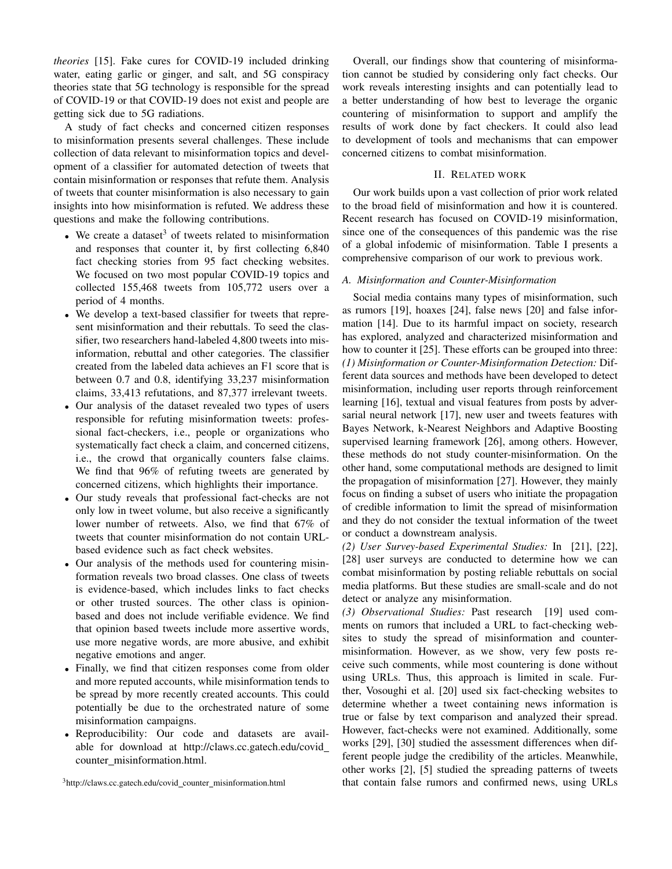*theories* [15]. Fake cures for COVID-19 included drinking water, eating garlic or ginger, and salt, and 5G conspiracy theories state that 5G technology is responsible for the spread of COVID-19 or that COVID-19 does not exist and people are getting sick due to 5G radiations.

A study of fact checks and concerned citizen responses to misinformation presents several challenges. These include collection of data relevant to misinformation topics and development of a classifier for automated detection of tweets that contain misinformation or responses that refute them. Analysis of tweets that counter misinformation is also necessary to gain insights into how misinformation is refuted. We address these questions and make the following contributions.

- We create a dataset<sup>3</sup> of tweets related to misinformation and responses that counter it, by first collecting 6,840 fact checking stories from 95 fact checking websites. We focused on two most popular COVID-19 topics and collected 155,468 tweets from 105,772 users over a period of 4 months.
- We develop a text-based classifier for tweets that represent misinformation and their rebuttals. To seed the classifier, two researchers hand-labeled 4,800 tweets into misinformation, rebuttal and other categories. The classifier created from the labeled data achieves an F1 score that is between 0.7 and 0.8, identifying 33,237 misinformation claims, 33,413 refutations, and 87,377 irrelevant tweets.
- Our analysis of the dataset revealed two types of users responsible for refuting misinformation tweets: professional fact-checkers, i.e., people or organizations who systematically fact check a claim, and concerned citizens, i.e., the crowd that organically counters false claims. We find that 96% of refuting tweets are generated by concerned citizens, which highlights their importance.
- Our study reveals that professional fact-checks are not only low in tweet volume, but also receive a significantly lower number of retweets. Also, we find that 67% of tweets that counter misinformation do not contain URLbased evidence such as fact check websites.
- Our analysis of the methods used for countering misinformation reveals two broad classes. One class of tweets is evidence-based, which includes links to fact checks or other trusted sources. The other class is opinionbased and does not include verifiable evidence. We find that opinion based tweets include more assertive words, use more negative words, are more abusive, and exhibit negative emotions and anger.
- Finally, we find that citizen responses come from older and more reputed accounts, while misinformation tends to be spread by more recently created accounts. This could potentially be due to the orchestrated nature of some misinformation campaigns.
- Reproducibility: Our code and datasets are available for download at http://claws.cc.gatech.edu/covid counter\_misinformation.html.

<sup>3</sup>http://claws.cc.gatech.edu/covid\_counter\_misinformation.html

Overall, our findings show that countering of misinformation cannot be studied by considering only fact checks. Our work reveals interesting insights and can potentially lead to a better understanding of how best to leverage the organic countering of misinformation to support and amplify the results of work done by fact checkers. It could also lead to development of tools and mechanisms that can empower concerned citizens to combat misinformation.

# II. RELATED WORK

Our work builds upon a vast collection of prior work related to the broad field of misinformation and how it is countered. Recent research has focused on COVID-19 misinformation, since one of the consequences of this pandemic was the rise of a global infodemic of misinformation. Table I presents a comprehensive comparison of our work to previous work.

#### *A. Misinformation and Counter-Misinformation*

Social media contains many types of misinformation, such as rumors [19], hoaxes [24], false news [20] and false information [14]. Due to its harmful impact on society, research has explored, analyzed and characterized misinformation and how to counter it [25]. These efforts can be grouped into three: *(1) Misinformation or Counter-Misinformation Detection:* Different data sources and methods have been developed to detect misinformation, including user reports through reinforcement learning [16], textual and visual features from posts by adversarial neural network [17], new user and tweets features with Bayes Network, k-Nearest Neighbors and Adaptive Boosting supervised learning framework [26], among others. However, these methods do not study counter-misinformation. On the other hand, some computational methods are designed to limit the propagation of misinformation [27]. However, they mainly focus on finding a subset of users who initiate the propagation of credible information to limit the spread of misinformation and they do not consider the textual information of the tweet or conduct a downstream analysis.

*(2) User Survey-based Experimental Studies:* In [21], [22], [28] user surveys are conducted to determine how we can combat misinformation by posting reliable rebuttals on social media platforms. But these studies are small-scale and do not detect or analyze any misinformation.

*(3) Observational Studies:* Past research [19] used comments on rumors that included a URL to fact-checking websites to study the spread of misinformation and countermisinformation. However, as we show, very few posts receive such comments, while most countering is done without using URLs. Thus, this approach is limited in scale. Further, Vosoughi et al. [20] used six fact-checking websites to determine whether a tweet containing news information is true or false by text comparison and analyzed their spread. However, fact-checks were not examined. Additionally, some works [29], [30] studied the assessment differences when different people judge the credibility of the articles. Meanwhile, other works [2], [5] studied the spreading patterns of tweets that contain false rumors and confirmed news, using URLs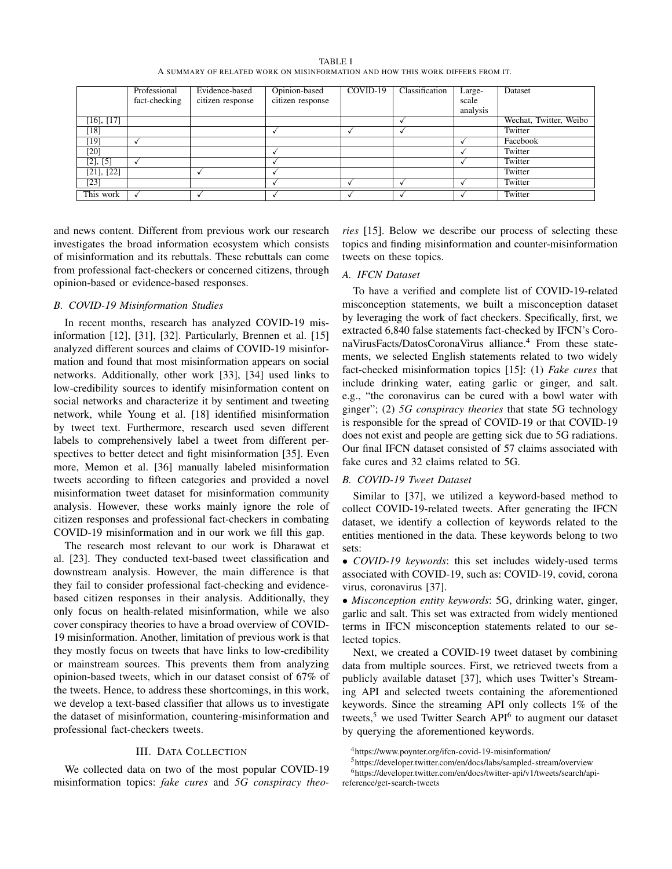| TABLE I |                                                                                |
|---------|--------------------------------------------------------------------------------|
|         | A SUMMARY OF RELATED WORK ON MISINFORMATION AND HOW THIS WORK DIFFERS FROM IT. |

|                 | Professional  | Evidence-based   | Opinion-based    | COVID-19 | Classification | Large-   | Dataset                |
|-----------------|---------------|------------------|------------------|----------|----------------|----------|------------------------|
|                 | fact-checking | citizen response | citizen response |          |                | scale    |                        |
|                 |               |                  |                  |          |                | analysis |                        |
| $[16]$ , $[17]$ |               |                  |                  |          |                |          | Wechat, Twitter, Weibo |
| $[18]$          |               |                  |                  |          |                |          | Twitter                |
| $[19]$          |               |                  |                  |          |                |          | Facebook               |
| $[20]$          |               |                  |                  |          |                |          | Twitter                |
| [2], [5]        |               |                  |                  |          |                |          | Twitter                |
| $[21]$ , $[22]$ |               |                  |                  |          |                |          | Twitter                |
| $[23]$          |               |                  |                  |          |                |          | Twitter                |
| This work       |               |                  |                  |          |                |          | Twitter                |

and news content. Different from previous work our research investigates the broad information ecosystem which consists of misinformation and its rebuttals. These rebuttals can come from professional fact-checkers or concerned citizens, through opinion-based or evidence-based responses.

## *B. COVID-19 Misinformation Studies*

In recent months, research has analyzed COVID-19 misinformation [12], [31], [32]. Particularly, Brennen et al. [15] analyzed different sources and claims of COVID-19 misinformation and found that most misinformation appears on social networks. Additionally, other work [33], [34] used links to low-credibility sources to identify misinformation content on social networks and characterize it by sentiment and tweeting network, while Young et al. [18] identified misinformation by tweet text. Furthermore, research used seven different labels to comprehensively label a tweet from different perspectives to better detect and fight misinformation [35]. Even more, Memon et al. [36] manually labeled misinformation tweets according to fifteen categories and provided a novel misinformation tweet dataset for misinformation community analysis. However, these works mainly ignore the role of citizen responses and professional fact-checkers in combating COVID-19 misinformation and in our work we fill this gap.

The research most relevant to our work is Dharawat et al. [23]. They conducted text-based tweet classification and downstream analysis. However, the main difference is that they fail to consider professional fact-checking and evidencebased citizen responses in their analysis. Additionally, they only focus on health-related misinformation, while we also cover conspiracy theories to have a broad overview of COVID-19 misinformation. Another, limitation of previous work is that they mostly focus on tweets that have links to low-credibility or mainstream sources. This prevents them from analyzing opinion-based tweets, which in our dataset consist of 67% of the tweets. Hence, to address these shortcomings, in this work, we develop a text-based classifier that allows us to investigate the dataset of misinformation, countering-misinformation and professional fact-checkers tweets.

## III. DATA COLLECTION

We collected data on two of the most popular COVID-19 misinformation topics: *fake cures* and *5G conspiracy theo-* *ries* [15]. Below we describe our process of selecting these topics and finding misinformation and counter-misinformation tweets on these topics.

## *A. IFCN Dataset*

To have a verified and complete list of COVID-19-related misconception statements, we built a misconception dataset by leveraging the work of fact checkers. Specifically, first, we extracted 6,840 false statements fact-checked by IFCN's CoronaVirusFacts/DatosCoronaVirus alliance.<sup>4</sup> From these statements, we selected English statements related to two widely fact-checked misinformation topics [15]: (1) *Fake cures* that include drinking water, eating garlic or ginger, and salt. e.g., "the coronavirus can be cured with a bowl water with ginger"; (2) *5G conspiracy theories* that state 5G technology is responsible for the spread of COVID-19 or that COVID-19 does not exist and people are getting sick due to 5G radiations. Our final IFCN dataset consisted of 57 claims associated with fake cures and 32 claims related to 5G.

# *B. COVID-19 Tweet Dataset*

Similar to [37], we utilized a keyword-based method to collect COVID-19-related tweets. After generating the IFCN dataset, we identify a collection of keywords related to the entities mentioned in the data. These keywords belong to two sets:

• *COVID-19 keywords*: this set includes widely-used terms associated with COVID-19, such as: COVID-19, covid, corona virus, coronavirus [37].

• *Misconception entity keywords*: 5G, drinking water, ginger, garlic and salt. This set was extracted from widely mentioned terms in IFCN misconception statements related to our selected topics.

Next, we created a COVID-19 tweet dataset by combining data from multiple sources. First, we retrieved tweets from a publicly available dataset [37], which uses Twitter's Streaming API and selected tweets containing the aforementioned keywords. Since the streaming API only collects 1% of the tweets,<sup>5</sup> we used Twitter Search API<sup>6</sup> to augment our dataset by querying the aforementioned keywords.

<sup>4</sup>https://www.poynter.org/ifcn-covid-19-misinformation/

<sup>5</sup>https://developer.twitter.com/en/docs/labs/sampled-stream/overview

<sup>6</sup>https://developer.twitter.com/en/docs/twitter-api/v1/tweets/search/apireference/get-search-tweets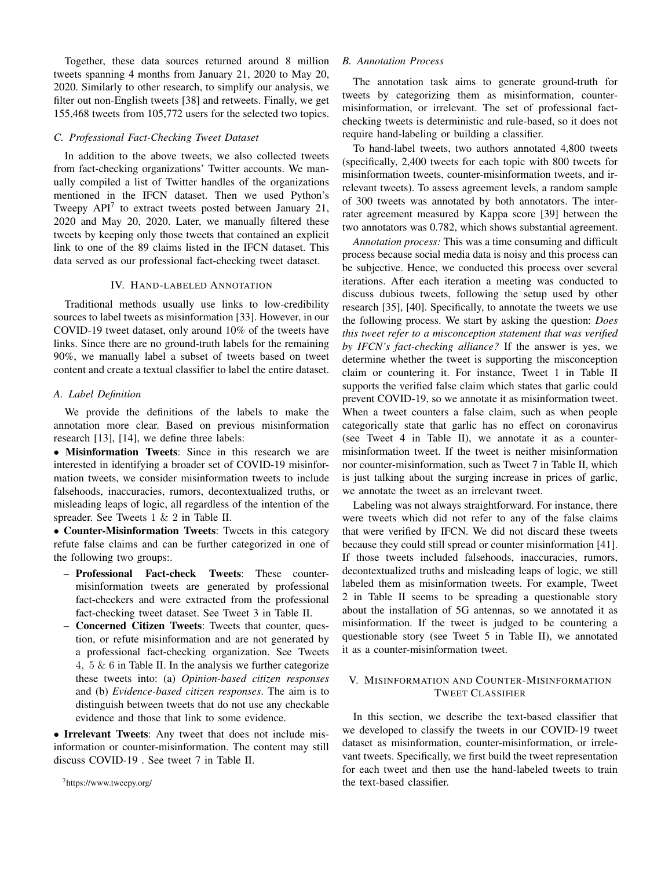Together, these data sources returned around 8 million tweets spanning 4 months from January 21, 2020 to May 20, 2020. Similarly to other research, to simplify our analysis, we filter out non-English tweets [38] and retweets. Finally, we get 155,468 tweets from 105,772 users for the selected two topics.

## *C. Professional Fact-Checking Tweet Dataset*

In addition to the above tweets, we also collected tweets from fact-checking organizations' Twitter accounts. We manually compiled a list of Twitter handles of the organizations mentioned in the IFCN dataset. Then we used Python's Tweepy  $API<sup>7</sup>$  to extract tweets posted between January 21, 2020 and May 20, 2020. Later, we manually filtered these tweets by keeping only those tweets that contained an explicit link to one of the 89 claims listed in the IFCN dataset. This data served as our professional fact-checking tweet dataset.

#### IV. HAND-LABELED ANNOTATION

Traditional methods usually use links to low-credibility sources to label tweets as misinformation [33]. However, in our COVID-19 tweet dataset, only around 10% of the tweets have links. Since there are no ground-truth labels for the remaining 90%, we manually label a subset of tweets based on tweet content and create a textual classifier to label the entire dataset.

## *A. Label Definition*

We provide the definitions of the labels to make the annotation more clear. Based on previous misinformation research [13], [14], we define three labels:

• Misinformation Tweets: Since in this research we are interested in identifying a broader set of COVID-19 misinformation tweets, we consider misinformation tweets to include falsehoods, inaccuracies, rumors, decontextualized truths, or misleading leaps of logic, all regardless of the intention of the spreader. See Tweets 1 & 2 in Table II.

• Counter-Misinformation Tweets: Tweets in this category refute false claims and can be further categorized in one of the following two groups:.

- Professional Fact-check Tweets: These countermisinformation tweets are generated by professional fact-checkers and were extracted from the professional fact-checking tweet dataset. See Tweet 3 in Table II.
- Concerned Citizen Tweets: Tweets that counter, question, or refute misinformation and are not generated by a professional fact-checking organization. See Tweets 4,  $5 \& 6$  in Table II. In the analysis we further categorize these tweets into: (a) *Opinion-based citizen responses* and (b) *Evidence-based citizen responses*. The aim is to distinguish between tweets that do not use any checkable evidence and those that link to some evidence.

• Irrelevant Tweets: Any tweet that does not include misinformation or counter-misinformation. The content may still discuss COVID-19 . See tweet 7 in Table II.

<sup>7</sup>https://www.tweepy.org/

## *B. Annotation Process*

The annotation task aims to generate ground-truth for tweets by categorizing them as misinformation, countermisinformation, or irrelevant. The set of professional factchecking tweets is deterministic and rule-based, so it does not require hand-labeling or building a classifier.

To hand-label tweets, two authors annotated 4,800 tweets (specifically, 2,400 tweets for each topic with 800 tweets for misinformation tweets, counter-misinformation tweets, and irrelevant tweets). To assess agreement levels, a random sample of 300 tweets was annotated by both annotators. The interrater agreement measured by Kappa score [39] between the two annotators was 0.782, which shows substantial agreement.

*Annotation process:* This was a time consuming and difficult process because social media data is noisy and this process can be subjective. Hence, we conducted this process over several iterations. After each iteration a meeting was conducted to discuss dubious tweets, following the setup used by other research [35], [40]. Specifically, to annotate the tweets we use the following process. We start by asking the question: *Does this tweet refer to a misconception statement that was verified by IFCN's fact-checking alliance?* If the answer is yes, we determine whether the tweet is supporting the misconception claim or countering it. For instance, Tweet 1 in Table II supports the verified false claim which states that garlic could prevent COVID-19, so we annotate it as misinformation tweet. When a tweet counters a false claim, such as when people categorically state that garlic has no effect on coronavirus (see Tweet 4 in Table II), we annotate it as a countermisinformation tweet. If the tweet is neither misinformation nor counter-misinformation, such as Tweet 7 in Table II, which is just talking about the surging increase in prices of garlic, we annotate the tweet as an irrelevant tweet.

Labeling was not always straightforward. For instance, there were tweets which did not refer to any of the false claims that were verified by IFCN. We did not discard these tweets because they could still spread or counter misinformation [41]. If those tweets included falsehoods, inaccuracies, rumors, decontextualized truths and misleading leaps of logic, we still labeled them as misinformation tweets. For example, Tweet 2 in Table II seems to be spreading a questionable story about the installation of 5G antennas, so we annotated it as misinformation. If the tweet is judged to be countering a questionable story (see Tweet 5 in Table II), we annotated it as a counter-misinformation tweet.

# V. MISINFORMATION AND COUNTER-MISINFORMATION TWEET CLASSIFIER

In this section, we describe the text-based classifier that we developed to classify the tweets in our COVID-19 tweet dataset as misinformation, counter-misinformation, or irrelevant tweets. Specifically, we first build the tweet representation for each tweet and then use the hand-labeled tweets to train the text-based classifier.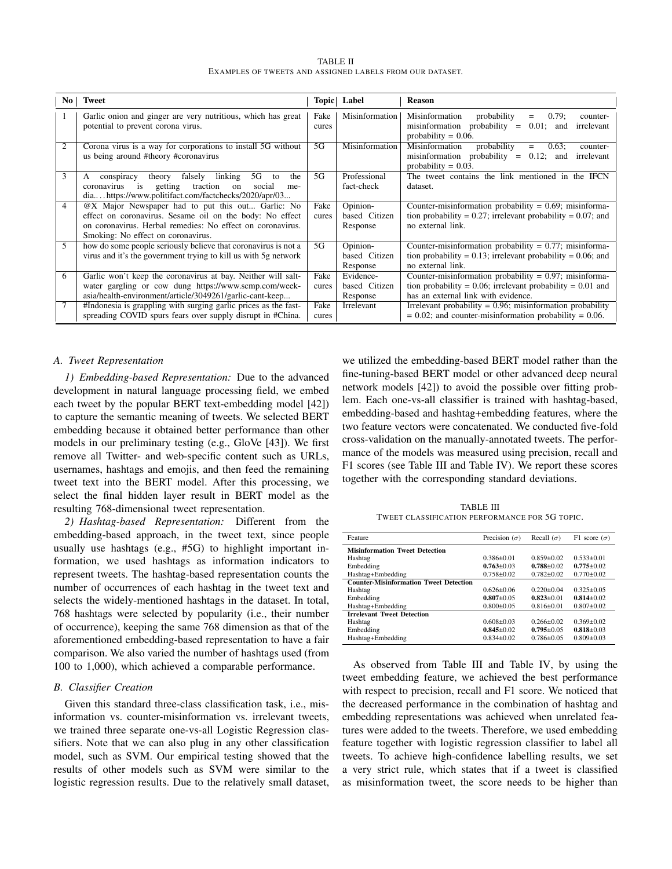TABLE II EXAMPLES OF TWEETS AND ASSIGNED LABELS FROM OUR DATASET.

| No. | <b>Tweet</b>                                                                                                                                                                                                      | Topic         | Label                                  | <b>Reason</b>                                                                                                                                                       |
|-----|-------------------------------------------------------------------------------------------------------------------------------------------------------------------------------------------------------------------|---------------|----------------------------------------|---------------------------------------------------------------------------------------------------------------------------------------------------------------------|
|     | Garlic onion and ginger are very nutritious, which has great<br>potential to prevent corona virus.                                                                                                                | Fake<br>cures | Misinformation                         | Misinformation<br>probability<br>0.79:<br>$=$<br>counter-<br>$misinformation probability =$<br>$0.01$ ;<br>irrelevant<br>and<br>probability $= 0.06$ .              |
| 2   | Corona virus is a way for corporations to install 5G without<br>us being around #theory #coronavirus                                                                                                              | 5G            | Misinformation                         | Misinformation<br>probability<br>$0.63$ ;<br>counter-<br>$=$<br>misinformation probability $= 0.12$ ; and<br>irrelevant<br>probability = $0.03$ .                   |
| 3   | linking<br>falsely<br>5G<br>theory<br>the<br>А<br>conspiracy<br>to<br>getting<br>traction<br>coronavirus<br>$\frac{1}{1}$<br>social<br>on<br>me-<br>diahttps://www.politifact.com/factchecks/2020/apr/03          | 5G            | Professional<br>fact-check             | The tweet contains the link mentioned in the IFCN<br>dataset.                                                                                                       |
| 4   | @X Major Newspaper had to put this out Garlic: No<br>effect on coronavirus. Sesame oil on the body: No effect<br>on coronavirus. Herbal remedies: No effect on coronavirus.<br>Smoking: No effect on coronavirus. | Fake<br>cures | Opinion-<br>based Citizen<br>Response  | Counter-misinformation probability = $0.69$ ; misinforma-<br>tion probability = $0.27$ ; irrelevant probability = $0.07$ ; and<br>no external link.                 |
| 5   | how do some people seriously believe that coronavirus is not a<br>virus and it's the government trying to kill us with 5g network                                                                                 | 5G            | Opinion-<br>based Citizen<br>Response  | Counter-misinformation probability = $0.77$ ; misinforma-<br>tion probability = 0.13; irrelevant probability = 0.06; and<br>no external link.                       |
| 6   | Garlic won't keep the coronavirus at bay. Neither will salt-<br>water gargling or cow dung https://www.scmp.com/week-<br>asia/health-environment/article/3049261/garlic-cant-keep                                 | Fake<br>cures | Evidence-<br>based Citizen<br>Response | Counter-misinformation probability = $0.97$ ; misinforma-<br>tion probability = $0.06$ ; irrelevant probability = $0.01$ and<br>has an external link with evidence. |
|     | #Indonesia is grappling with surging garlic prices as the fast-<br>spreading COVID spurs fears over supply disrupt in #China.                                                                                     | Fake<br>cures | Irrelevant                             | Irrelevant probability = $0.96$ ; misinformation probability<br>$= 0.02$ ; and counter-misinformation probability $= 0.06$ .                                        |

#### *A. Tweet Representation*

*1) Embedding-based Representation:* Due to the advanced development in natural language processing field, we embed each tweet by the popular BERT text-embedding model [42]) to capture the semantic meaning of tweets. We selected BERT embedding because it obtained better performance than other models in our preliminary testing (e.g., GloVe [43]). We first remove all Twitter- and web-specific content such as URLs, usernames, hashtags and emojis, and then feed the remaining tweet text into the BERT model. After this processing, we select the final hidden layer result in BERT model as the resulting 768-dimensional tweet representation.

*2) Hashtag-based Representation:* Different from the embedding-based approach, in the tweet text, since people usually use hashtags (e.g., #5G) to highlight important information, we used hashtags as information indicators to represent tweets. The hashtag-based representation counts the number of occurrences of each hashtag in the tweet text and selects the widely-mentioned hashtags in the dataset. In total, 768 hashtags were selected by popularity (i.e., their number of occurrence), keeping the same 768 dimension as that of the aforementioned embedding-based representation to have a fair comparison. We also varied the number of hashtags used (from 100 to 1,000), which achieved a comparable performance.

## *B. Classifier Creation*

Given this standard three-class classification task, i.e., misinformation vs. counter-misinformation vs. irrelevant tweets, we trained three separate one-vs-all Logistic Regression classifiers. Note that we can also plug in any other classification model, such as SVM. Our empirical testing showed that the results of other models such as SVM were similar to the logistic regression results. Due to the relatively small dataset,

we utilized the embedding-based BERT model rather than the fine-tuning-based BERT model or other advanced deep neural network models [42]) to avoid the possible over fitting problem. Each one-vs-all classifier is trained with hashtag-based, embedding-based and hashtag+embedding features, where the two feature vectors were concatenated. We conducted five-fold cross-validation on the manually-annotated tweets. The performance of the models was measured using precision, recall and F1 scores (see Table III and Table IV). We report these scores together with the corresponding standard deviations.

TABLE III TWEET CLASSIFICATION PERFORMANCE FOR 5G TOPIC.

| Feature                                       | Precision $(\sigma)$ | Recall $(\sigma)$ | F1 score $(\sigma)$ |
|-----------------------------------------------|----------------------|-------------------|---------------------|
| <b>Misinformation Tweet Detection</b>         |                      |                   |                     |
| Hashtag                                       | $0.386 + 0.01$       | $0.859+0.02$      | $0.533+0.01$        |
| Embedding                                     | $0.763 + 0.03$       | $0.788 + 0.02$    | $0.775 \pm 0.02$    |
| Hashtag+Embedding                             | $0.758 + 0.02$       | $0.782 + 0.02$    | $0.770 + 0.02$      |
| <b>Counter-Misinformation Tweet Detection</b> |                      |                   |                     |
| Hashtag                                       | $0.626 \pm 0.06$     | $0.220 \pm 0.04$  | $0.325 \pm 0.05$    |
| Embedding                                     | $0.807 + 0.05$       | $0.823 \pm 0.01$  | $0.814 + 0.02$      |
| Hashtag+Embedding                             | $0.800+0.05$         | $0.816 \pm 0.01$  | $0.807+0.02$        |
| <b>Irrelevant Tweet Detection</b>             |                      |                   |                     |
| Hashtag                                       | $0.608 + 0.03$       | $0.266 \pm 0.02$  | $0.369 + 0.02$      |
| Embedding                                     | $0.845 \pm 0.02$     | $0.795 + 0.05$    | $0.818 + 0.03$      |
| Hashtag+Embedding                             | $0.834 + 0.02$       | $0.786 + 0.05$    | $0.809 + 0.03$      |
|                                               |                      |                   |                     |

As observed from Table III and Table IV, by using the tweet embedding feature, we achieved the best performance with respect to precision, recall and F1 score. We noticed that the decreased performance in the combination of hashtag and embedding representations was achieved when unrelated features were added to the tweets. Therefore, we used embedding feature together with logistic regression classifier to label all tweets. To achieve high-confidence labelling results, we set a very strict rule, which states that if a tweet is classified as misinformation tweet, the score needs to be higher than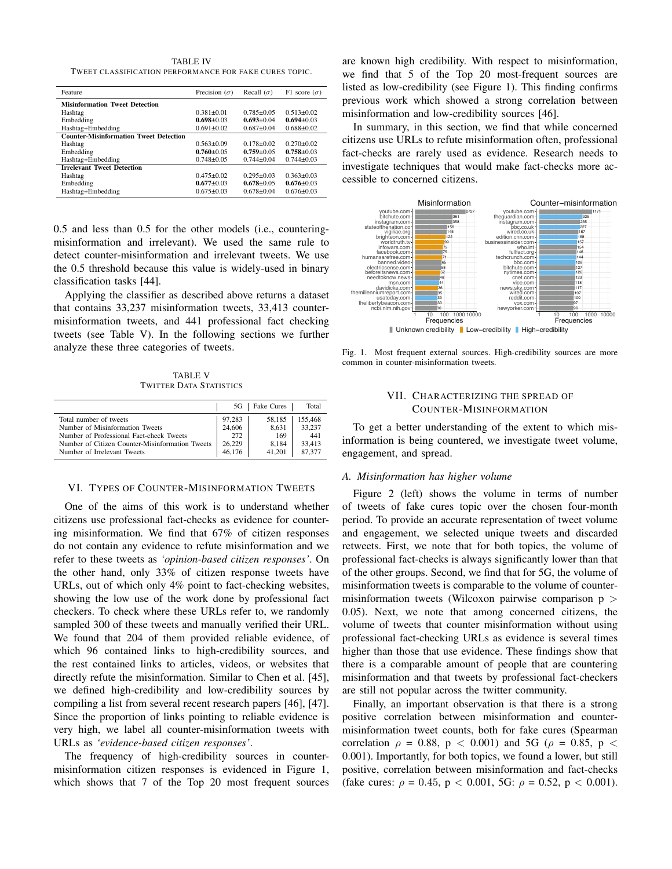TABLE IV TWEET CLASSIFICATION PERFORMANCE FOR FAKE CURES TOPIC.

| Feature                                       | Precision $(\sigma)$ | Recall $(\sigma)$ | F1 score $(\sigma)$ |
|-----------------------------------------------|----------------------|-------------------|---------------------|
| <b>Misinformation Tweet Detection</b>         |                      |                   |                     |
| Hashtag                                       | $0.381 + 0.01$       | $0.785 + 0.05$    | $0.513 + 0.02$      |
| Embedding                                     | $0.698 + 0.03$       | $0.693 + 0.04$    | $0.694 + 0.03$      |
| Hashtag+Embedding                             | $0.691 \pm 0.02$     | $0.687+0.04$      | $0.688 \pm 0.02$    |
| <b>Counter-Misinformation Tweet Detection</b> |                      |                   |                     |
| Hashtag                                       | $0.563 \pm 0.09$     | $0.178 + 0.02$    | $0.270 + 0.02$      |
| Embedding                                     | $0.760 + 0.05$       | $0.759 + 0.05$    | $0.758 + 0.03$      |
| Hashtag+Embedding                             | $0.748 + 0.05$       | $0.744 + 0.04$    | $0.744 + 0.03$      |
| <b>Irrelevant Tweet Detection</b>             |                      |                   |                     |
| Hashtag                                       | $0.475 + 0.02$       | $0.295 + 0.03$    | $0.363 + 0.03$      |
| Embedding                                     | $0.677 + 0.03$       | $0.678 + 0.05$    | $0.676 \pm 0.03$    |
| Hashtag+Embedding                             | $0.675 + 0.03$       | $0.678 + 0.04$    | $0.676 \pm 0.03$    |
|                                               |                      |                   |                     |

0.5 and less than 0.5 for the other models (i.e., counteringmisinformation and irrelevant). We used the same rule to detect counter-misinformation and irrelevant tweets. We use the 0.5 threshold because this value is widely-used in binary classification tasks [44].

Applying the classifier as described above returns a dataset that contains 33,237 misinformation tweets, 33,413 countermisinformation tweets, and 441 professional fact checking tweets (see Table V). In the following sections we further analyze these three categories of tweets.

TABLE V TWITTER DATA STATISTICS

|                                                 | 5G     | Fake Cures | Total   |
|-------------------------------------------------|--------|------------|---------|
| Total number of tweets                          | 97,283 | 58.185     | 155,468 |
| Number of Misinformation Tweets                 | 24,606 | 8.631      | 33.237  |
| Number of Professional Fact-check Tweets        | 272    | 169        | 441     |
| Number of Citizen Counter-Misinformation Tweets | 26,229 | 8.184      | 33.413  |
| Number of Irrelevant Tweets                     | 46.176 | 41 201     | 87 377  |

#### VI. TYPES OF COUNTER-MISINFORMATION TWEETS

One of the aims of this work is to understand whether citizens use professional fact-checks as evidence for countering misinformation. We find that 67% of citizen responses do not contain any evidence to refute misinformation and we refer to these tweets as *'opinion-based citizen responses'*. On the other hand, only 33% of citizen response tweets have URLs, out of which only 4% point to fact-checking websites, showing the low use of the work done by professional fact checkers. To check where these URLs refer to, we randomly sampled 300 of these tweets and manually verified their URL. We found that 204 of them provided reliable evidence, of which 96 contained links to high-credibility sources, and the rest contained links to articles, videos, or websites that directly refute the misinformation. Similar to Chen et al. [45], we defined high-credibility and low-credibility sources by compiling a list from several recent research papers [46], [47]. Since the proportion of links pointing to reliable evidence is very high, we label all counter-misinformation tweets with URLs as *'evidence-based citizen responses'*.

The frequency of high-credibility sources in countermisinformation citizen responses is evidenced in Figure 1, which shows that 7 of the Top 20 most frequent sources are known high credibility. With respect to misinformation, we find that 5 of the Top 20 most-frequent sources are listed as low-credibility (see Figure 1). This finding confirms previous work which showed a strong correlation between misinformation and low-credibility sources [46].

In summary, in this section, we find that while concerned citizens use URLs to refute misinformation often, professional fact-checks are rarely used as evidence. Research needs to investigate techniques that would make fact-checks more accessible to concerned citizens.



Fig. 1. Most frequent external sources. High-credibility sources are more common in counter-misinformation tweets.

# VII. CHARACTERIZING THE SPREAD OF COUNTER-MISINFORMATION

To get a better understanding of the extent to which misinformation is being countered, we investigate tweet volume, engagement, and spread.

#### *A. Misinformation has higher volume*

Figure 2 (left) shows the volume in terms of number of tweets of fake cures topic over the chosen four-month period. To provide an accurate representation of tweet volume and engagement, we selected unique tweets and discarded retweets. First, we note that for both topics, the volume of professional fact-checks is always significantly lower than that of the other groups. Second, we find that for 5G, the volume of misinformation tweets is comparable to the volume of countermisinformation tweets (Wilcoxon pairwise comparison  $p >$ 0.05). Next, we note that among concerned citizens, the volume of tweets that counter misinformation without using professional fact-checking URLs as evidence is several times higher than those that use evidence. These findings show that there is a comparable amount of people that are countering misinformation and that tweets by professional fact-checkers are still not popular across the twitter community.

Finally, an important observation is that there is a strong positive correlation between misinformation and countermisinformation tweet counts, both for fake cures (Spearman correlation  $\rho = 0.88$ ,  $p < 0.001$ ) and 5G ( $\rho = 0.85$ ,  $p <$ 0.001). Importantly, for both topics, we found a lower, but still positive, correlation between misinformation and fact-checks (fake cures:  $\rho = 0.45$ ,  $p < 0.001$ , 5G:  $\rho = 0.52$ ,  $p < 0.001$ ).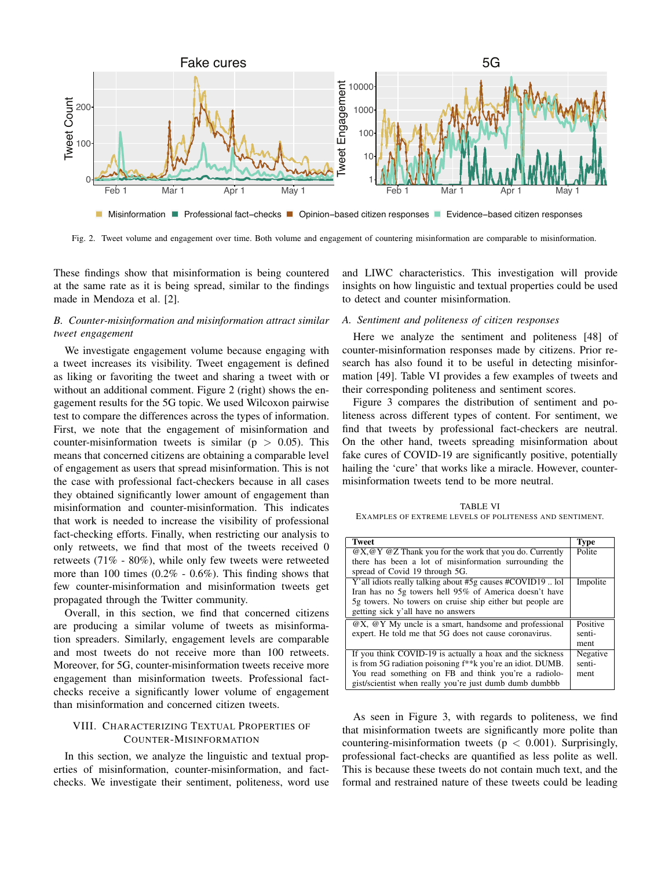

Fig. 2. Tweet volume and engagement over time. Both volume and engagement of countering misinformation are comparable to misinformation.

These findings show that misinformation is being countered at the same rate as it is being spread, similar to the findings made in Mendoza et al. [2].

# *B. Counter-misinformation and misinformation attract similar tweet engagement*

We investigate engagement volume because engaging with a tweet increases its visibility. Tweet engagement is defined as liking or favoriting the tweet and sharing a tweet with or without an additional comment. Figure 2 (right) shows the engagement results for the 5G topic. We used Wilcoxon pairwise test to compare the differences across the types of information. First, we note that the engagement of misinformation and counter-misinformation tweets is similar ( $p > 0.05$ ). This means that concerned citizens are obtaining a comparable level of engagement as users that spread misinformation. This is not the case with professional fact-checkers because in all cases they obtained significantly lower amount of engagement than misinformation and counter-misinformation. This indicates that work is needed to increase the visibility of professional fact-checking efforts. Finally, when restricting our analysis to only retweets, we find that most of the tweets received 0 retweets (71% - 80%), while only few tweets were retweeted more than 100 times (0.2% - 0.6%). This finding shows that few counter-misinformation and misinformation tweets get propagated through the Twitter community.

Overall, in this section, we find that concerned citizens are producing a similar volume of tweets as misinformation spreaders. Similarly, engagement levels are comparable and most tweets do not receive more than 100 retweets. Moreover, for 5G, counter-misinformation tweets receive more engagement than misinformation tweets. Professional factchecks receive a significantly lower volume of engagement than misinformation and concerned citizen tweets.

# VIII. CHARACTERIZING TEXTUAL PROPERTIES OF COUNTER-MISINFORMATION

In this section, we analyze the linguistic and textual properties of misinformation, counter-misinformation, and factchecks. We investigate their sentiment, politeness, word use and LIWC characteristics. This investigation will provide insights on how linguistic and textual properties could be used to detect and counter misinformation.

## *A. Sentiment and politeness of citizen responses*

Here we analyze the sentiment and politeness [48] of counter-misinformation responses made by citizens. Prior research has also found it to be useful in detecting misinformation [49]. Table VI provides a few examples of tweets and their corresponding politeness and sentiment scores.

Figure 3 compares the distribution of sentiment and politeness across different types of content. For sentiment, we find that tweets by professional fact-checkers are neutral. On the other hand, tweets spreading misinformation about fake cures of COVID-19 are significantly positive, potentially hailing the 'cure' that works like a miracle. However, countermisinformation tweets tend to be more neutral.

TABLE VI EXAMPLES OF EXTREME LEVELS OF POLITENESS AND SENTIMENT.

| <b>Tweet</b>                                                                               | <b>Type</b> |
|--------------------------------------------------------------------------------------------|-------------|
| $@X, @Y @Z$ Thank you for the work that you do. Currently                                  | Polite      |
| there has been a lot of misinformation surrounding the                                     |             |
| spread of Covid 19 through 5G.                                                             |             |
| Y' all idiots really talking about #5g causes #COVID19  lol                                | Impolite    |
| Iran has no 5g towers hell 95% of America doesn't have                                     |             |
| 5g towers. No towers on cruise ship either but people are                                  |             |
| getting sick y'all have no answers                                                         |             |
| $\overline{\omega}X$ , $\overline{\omega}Y$ My uncle is a smart, handsome and professional | Positive    |
| expert. He told me that 5G does not cause coronavirus.                                     | senti-      |
|                                                                                            | ment        |
| If you think COVID-19 is actually a hoax and the sickness                                  | Negative    |
| is from 5G radiation poisoning f <sup>**</sup> k you're an idiot. DUMB.                    | senti-      |
| You read something on FB and think you're a radiolo-                                       | ment        |
| gist/scientist when really you're just dumb dumb dumbbb                                    |             |

As seen in Figure 3, with regards to politeness, we find that misinformation tweets are significantly more polite than countering-misinformation tweets ( $p < 0.001$ ). Surprisingly, professional fact-checks are quantified as less polite as well. This is because these tweets do not contain much text, and the formal and restrained nature of these tweets could be leading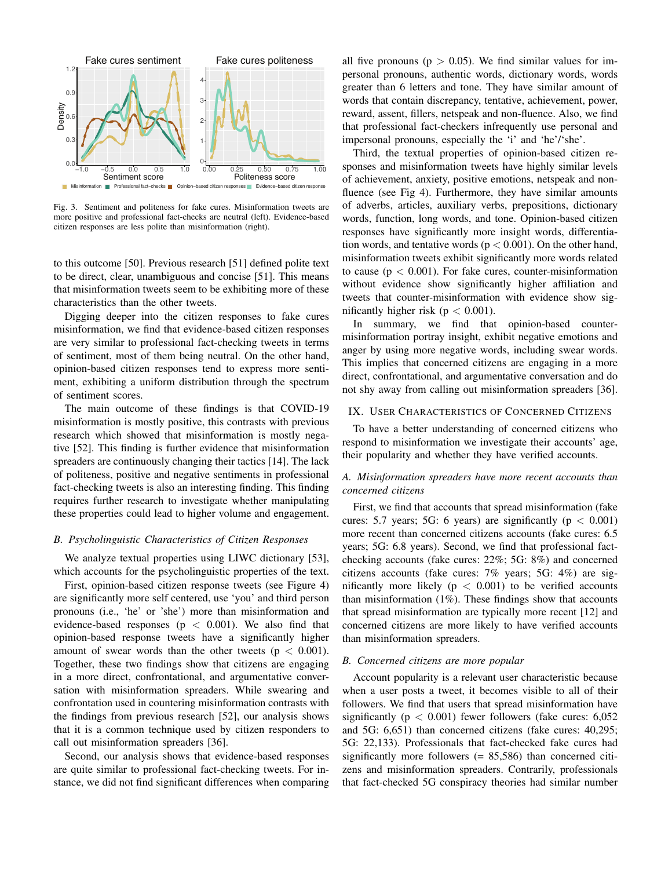

Fig. 3. Sentiment and politeness for fake cures. Misinformation tweets are more positive and professional fact-checks are neutral (left). Evidence-based citizen responses are less polite than misinformation (right).

to this outcome [50]. Previous research [51] defined polite text to be direct, clear, unambiguous and concise [51]. This means that misinformation tweets seem to be exhibiting more of these characteristics than the other tweets.

Digging deeper into the citizen responses to fake cures misinformation, we find that evidence-based citizen responses are very similar to professional fact-checking tweets in terms of sentiment, most of them being neutral. On the other hand, opinion-based citizen responses tend to express more sentiment, exhibiting a uniform distribution through the spectrum of sentiment scores.

The main outcome of these findings is that COVID-19 misinformation is mostly positive, this contrasts with previous research which showed that misinformation is mostly negative [52]. This finding is further evidence that misinformation spreaders are continuously changing their tactics [14]. The lack of politeness, positive and negative sentiments in professional fact-checking tweets is also an interesting finding. This finding requires further research to investigate whether manipulating these properties could lead to higher volume and engagement.

#### *B. Psycholinguistic Characteristics of Citizen Responses*

We analyze textual properties using LIWC dictionary [53], which accounts for the psycholinguistic properties of the text.

First, opinion-based citizen response tweets (see Figure 4) are significantly more self centered, use 'you' and third person pronouns (i.e., 'he' or 'she') more than misinformation and evidence-based responses ( $p < 0.001$ ). We also find that opinion-based response tweets have a significantly higher amount of swear words than the other tweets ( $p < 0.001$ ). Together, these two findings show that citizens are engaging in a more direct, confrontational, and argumentative conversation with misinformation spreaders. While swearing and confrontation used in countering misinformation contrasts with the findings from previous research [52], our analysis shows that it is a common technique used by citizen responders to call out misinformation spreaders [36].

Second, our analysis shows that evidence-based responses are quite similar to professional fact-checking tweets. For instance, we did not find significant differences when comparing

all five pronouns ( $p > 0.05$ ). We find similar values for impersonal pronouns, authentic words, dictionary words, words greater than 6 letters and tone. They have similar amount of words that contain discrepancy, tentative, achievement, power, reward, assent, fillers, netspeak and non-fluence. Also, we find that professional fact-checkers infrequently use personal and impersonal pronouns, especially the 'i' and 'he'/'she'.

Third, the textual properties of opinion-based citizen responses and misinformation tweets have highly similar levels of achievement, anxiety, positive emotions, netspeak and nonfluence (see Fig 4). Furthermore, they have similar amounts of adverbs, articles, auxiliary verbs, prepositions, dictionary words, function, long words, and tone. Opinion-based citizen responses have significantly more insight words, differentiation words, and tentative words ( $p < 0.001$ ). On the other hand, misinformation tweets exhibit significantly more words related to cause ( $p < 0.001$ ). For fake cures, counter-misinformation without evidence show significantly higher affiliation and tweets that counter-misinformation with evidence show significantly higher risk ( $p < 0.001$ ).

In summary, we find that opinion-based countermisinformation portray insight, exhibit negative emotions and anger by using more negative words, including swear words. This implies that concerned citizens are engaging in a more direct, confrontational, and argumentative conversation and do not shy away from calling out misinformation spreaders [36].

# IX. USER CHARACTERISTICS OF CONCERNED CITIZENS

To have a better understanding of concerned citizens who respond to misinformation we investigate their accounts' age, their popularity and whether they have verified accounts.

# *A. Misinformation spreaders have more recent accounts than concerned citizens*

First, we find that accounts that spread misinformation (fake cures: 5.7 years; 5G: 6 years) are significantly ( $p < 0.001$ ) more recent than concerned citizens accounts (fake cures: 6.5 years; 5G: 6.8 years). Second, we find that professional factchecking accounts (fake cures: 22%; 5G: 8%) and concerned citizens accounts (fake cures: 7% years; 5G: 4%) are significantly more likely ( $p < 0.001$ ) to be verified accounts than misinformation  $(1\%)$ . These findings show that accounts that spread misinformation are typically more recent [12] and concerned citizens are more likely to have verified accounts than misinformation spreaders.

#### *B. Concerned citizens are more popular*

Account popularity is a relevant user characteristic because when a user posts a tweet, it becomes visible to all of their followers. We find that users that spread misinformation have significantly ( $p < 0.001$ ) fewer followers (fake cures: 6,052 and 5G: 6,651) than concerned citizens (fake cures: 40,295; 5G: 22,133). Professionals that fact-checked fake cures had significantly more followers (= 85,586) than concerned citizens and misinformation spreaders. Contrarily, professionals that fact-checked 5G conspiracy theories had similar number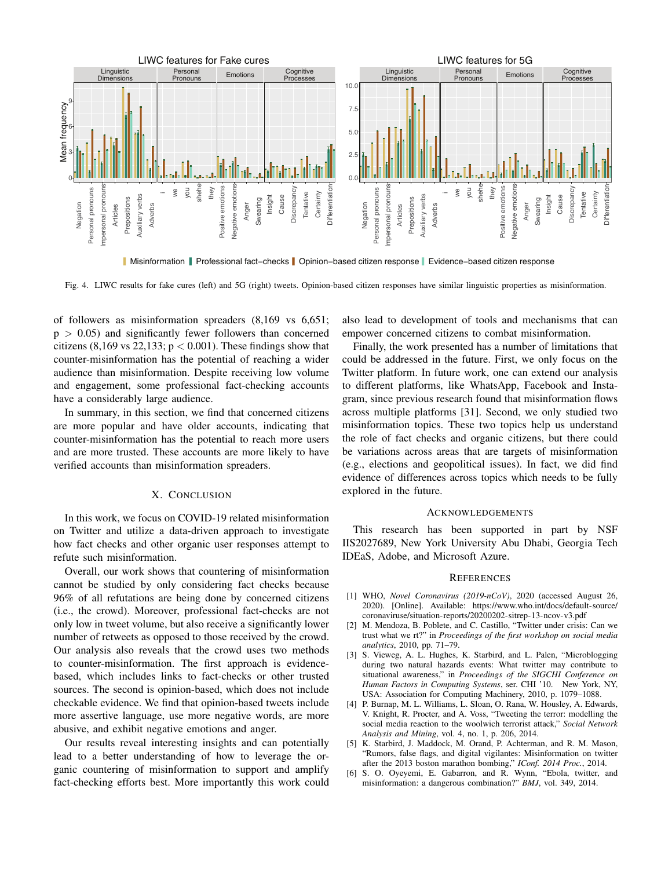

Misinformation Professional fact−checks Opinion−based citizen response Evidence−based citizen response

Fig. 4. LIWC results for fake cures (left) and 5G (right) tweets. Opinion-based citizen responses have similar linguistic properties as misinformation.

of followers as misinformation spreaders (8,169 vs 6,651;  $p > 0.05$ ) and significantly fewer followers than concerned citizens (8,169 vs 22,133;  $p < 0.001$ ). These findings show that counter-misinformation has the potential of reaching a wider audience than misinformation. Despite receiving low volume and engagement, some professional fact-checking accounts have a considerably large audience.

In summary, in this section, we find that concerned citizens are more popular and have older accounts, indicating that counter-misinformation has the potential to reach more users and are more trusted. These accounts are more likely to have verified accounts than misinformation spreaders.

## X. CONCLUSION

In this work, we focus on COVID-19 related misinformation on Twitter and utilize a data-driven approach to investigate how fact checks and other organic user responses attempt to refute such misinformation.

Overall, our work shows that countering of misinformation cannot be studied by only considering fact checks because 96% of all refutations are being done by concerned citizens (i.e., the crowd). Moreover, professional fact-checks are not only low in tweet volume, but also receive a significantly lower number of retweets as opposed to those received by the crowd. Our analysis also reveals that the crowd uses two methods to counter-misinformation. The first approach is evidencebased, which includes links to fact-checks or other trusted sources. The second is opinion-based, which does not include checkable evidence. We find that opinion-based tweets include more assertive language, use more negative words, are more abusive, and exhibit negative emotions and anger.

Our results reveal interesting insights and can potentially lead to a better understanding of how to leverage the organic countering of misinformation to support and amplify fact-checking efforts best. More importantly this work could also lead to development of tools and mechanisms that can empower concerned citizens to combat misinformation.

Finally, the work presented has a number of limitations that could be addressed in the future. First, we only focus on the Twitter platform. In future work, one can extend our analysis to different platforms, like WhatsApp, Facebook and Instagram, since previous research found that misinformation flows across multiple platforms [31]. Second, we only studied two misinformation topics. These two topics help us understand the role of fact checks and organic citizens, but there could be variations across areas that are targets of misinformation (e.g., elections and geopolitical issues). In fact, we did find evidence of differences across topics which needs to be fully explored in the future.

## ACKNOWLEDGEMENTS

This research has been supported in part by NSF IIS2027689, New York University Abu Dhabi, Georgia Tech IDEaS, Adobe, and Microsoft Azure.

#### **REFERENCES**

- [1] WHO, *Novel Coronavirus (2019-nCoV)*, 2020 (accessed August 26, 2020). [Online]. Available: https://www.who.int/docs/default-source/ coronaviruse/situation-reports/20200202-sitrep-13-ncov-v3.pdf
- [2] M. Mendoza, B. Poblete, and C. Castillo, "Twitter under crisis: Can we trust what we rt?" in *Proceedings of the first workshop on social media analytics*, 2010, pp. 71–79.
- [3] S. Vieweg, A. L. Hughes, K. Starbird, and L. Palen, "Microblogging during two natural hazards events: What twitter may contribute to situational awareness," in *Proceedings of the SIGCHI Conference on Human Factors in Computing Systems*, ser. CHI '10. New York, NY, USA: Association for Computing Machinery, 2010, p. 1079–1088.
- [4] P. Burnap, M. L. Williams, L. Sloan, O. Rana, W. Housley, A. Edwards, V. Knight, R. Procter, and A. Voss, "Tweeting the terror: modelling the social media reaction to the woolwich terrorist attack," *Social Network Analysis and Mining*, vol. 4, no. 1, p. 206, 2014.
- [5] K. Starbird, J. Maddock, M. Orand, P. Achterman, and R. M. Mason, "Rumors, false flags, and digital vigilantes: Misinformation on twitter after the 2013 boston marathon bombing," *IConf. 2014 Proc.*, 2014.
- [6] S. O. Oyeyemi, E. Gabarron, and R. Wynn, "Ebola, twitter, and misinformation: a dangerous combination?" *BMJ*, vol. 349, 2014.